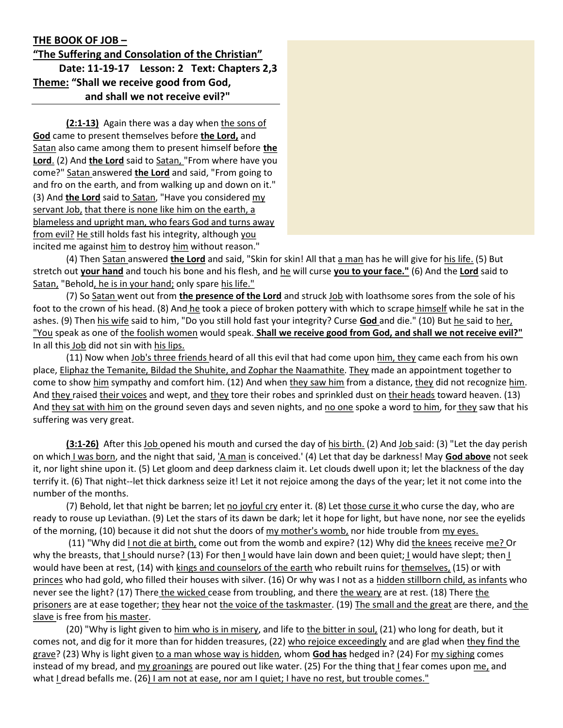## THE BOOK OF JOB –

"The Suffering and Consolation of the Christian" Date: 11-19-17 Lesson: 2 Text: Chapters 2,3 Theme: "Shall we receive good from God, and shall we not receive evil?"

(2:1-13) Again there was a day when the sons of God came to present themselves before the Lord, and Satan also came among them to present himself before the Lord. (2) And the Lord said to Satan, "From where have you come?" Satan answered the Lord and said, "From going to and fro on the earth, and from walking up and down on it." (3) And the Lord said to Satan, "Have you considered my servant Job, that there is none like him on the earth, a blameless and upright man, who fears God and turns away from evil? He still holds fast his integrity, although you incited me against him to destroy him without reason."

(4) Then Satan answered the Lord and said, "Skin for skin! All that a man has he will give for his life. (5) But stretch out your hand and touch his bone and his flesh, and he will curse you to your face." (6) And the Lord said to Satan, "Behold, he is in your hand; only spare his life."

(7) So Satan went out from the presence of the Lord and struck Job with loathsome sores from the sole of his foot to the crown of his head. (8) And he took a piece of broken pottery with which to scrape himself while he sat in the ashes. (9) Then his wife said to him, "Do you still hold fast your integrity? Curse God and die." (10) But he said to her, "You speak as one of the foolish women would speak. Shall we receive good from God, and shall we not receive evil?" In all this Job did not sin with his lips.

(11) Now when Job's three friends heard of all this evil that had come upon him, they came each from his own place, Eliphaz the Temanite, Bildad the Shuhite, and Zophar the Naamathite. They made an appointment together to come to show him sympathy and comfort him. (12) And when they saw him from a distance, they did not recognize him. And they raised their voices and wept, and they tore their robes and sprinkled dust on their heads toward heaven. (13) And they sat with him on the ground seven days and seven nights, and no one spoke a word to him, for they saw that his suffering was very great.

(3:1-26) After this Job opened his mouth and cursed the day of his birth. (2) And Job said: (3) "Let the day perish on which I was born, and the night that said, 'A man is conceived.' (4) Let that day be darkness! May God above not seek it, nor light shine upon it. (5) Let gloom and deep darkness claim it. Let clouds dwell upon it; let the blackness of the day terrify it. (6) That night--let thick darkness seize it! Let it not rejoice among the days of the year; let it not come into the number of the months.

(7) Behold, let that night be barren; let no joyful cry enter it. (8) Let those curse it who curse the day, who are ready to rouse up Leviathan. (9) Let the stars of its dawn be dark; let it hope for light, but have none, nor see the eyelids of the morning, (10) because it did not shut the doors of my mother's womb, nor hide trouble from my eyes.

 (11) "Why did I not die at birth, come out from the womb and expire? (12) Why did the knees receive me? Or why the breasts, that I should nurse? (13) For then I would have lain down and been quiet; I would have slept; then I would have been at rest, (14) with kings and counselors of the earth who rebuilt ruins for themselves, (15) or with princes who had gold, who filled their houses with silver. (16) Or why was I not as a hidden stillborn child, as infants who never see the light? (17) There the wicked cease from troubling, and there the weary are at rest. (18) There the prisoners are at ease together; they hear not the voice of the taskmaster. (19) The small and the great are there, and the slave is free from his master.

(20) "Why is light given to him who is in misery, and life to the bitter in soul, (21) who long for death, but it comes not, and dig for it more than for hidden treasures, (22) who rejoice exceedingly and are glad when they find the grave? (23) Why is light given to a man whose way is hidden, whom God has hedged in? (24) For my sighing comes instead of my bread, and my groanings are poured out like water. (25) For the thing that I fear comes upon me, and what I dread befalls me. (26) I am not at ease, nor am I quiet; I have no rest, but trouble comes."